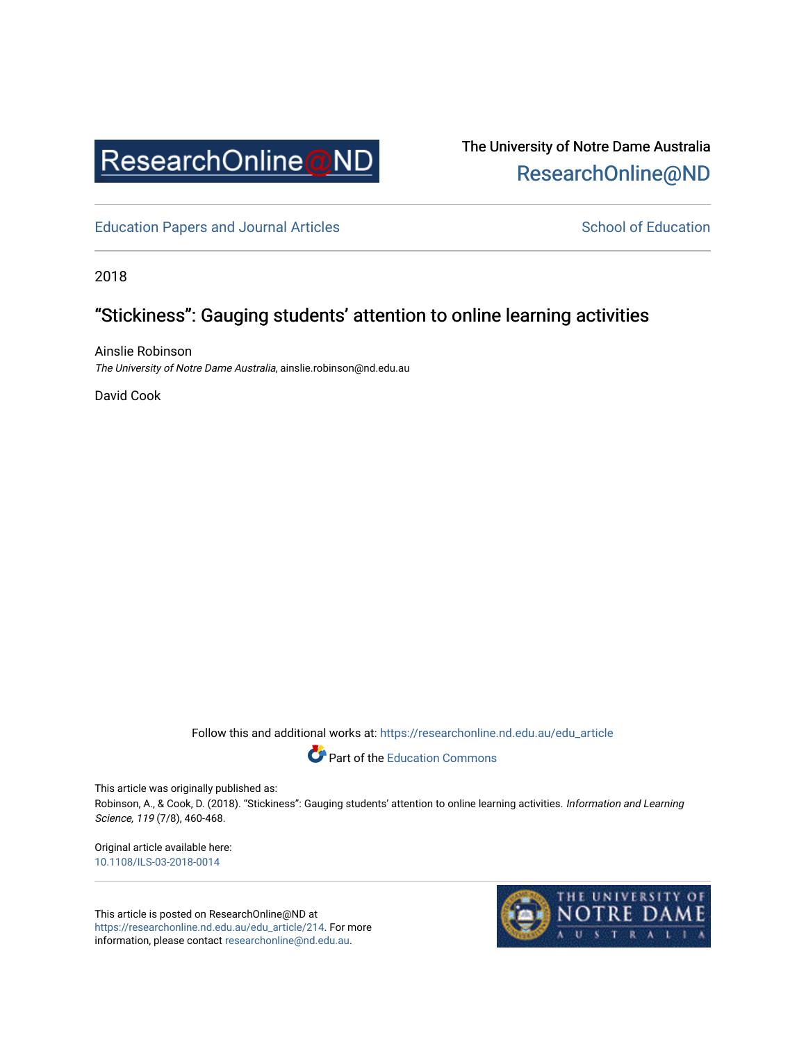

# The University of Notre Dame Australia [ResearchOnline@ND](https://researchonline.nd.edu.au/)

[Education Papers and Journal Articles](https://researchonline.nd.edu.au/edu_article) [School of Education](https://researchonline.nd.edu.au/edu) School of Education

2018

# "Stickiness": Gauging students' attention to online learning activities

Ainslie Robinson The University of Notre Dame Australia, ainslie.robinson@nd.edu.au

David Cook

Follow this and additional works at: [https://researchonline.nd.edu.au/edu\\_article](https://researchonline.nd.edu.au/edu_article?utm_source=researchonline.nd.edu.au%2Fedu_article%2F214&utm_medium=PDF&utm_campaign=PDFCoverPages)



This article was originally published as:

Robinson, A., & Cook, D. (2018). "Stickiness": Gauging students' attention to online learning activities. Information and Learning Science, 119 (7/8), 460-468.

Original article available here: [10.1108/ILS-03-2018-0014](https://doi.org/10.1108/ILS-03-2018-0014)

This article is posted on ResearchOnline@ND at [https://researchonline.nd.edu.au/edu\\_article/214](https://researchonline.nd.edu.au/edu_article/214). For more information, please contact [researchonline@nd.edu.au.](mailto:researchonline@nd.edu.au)

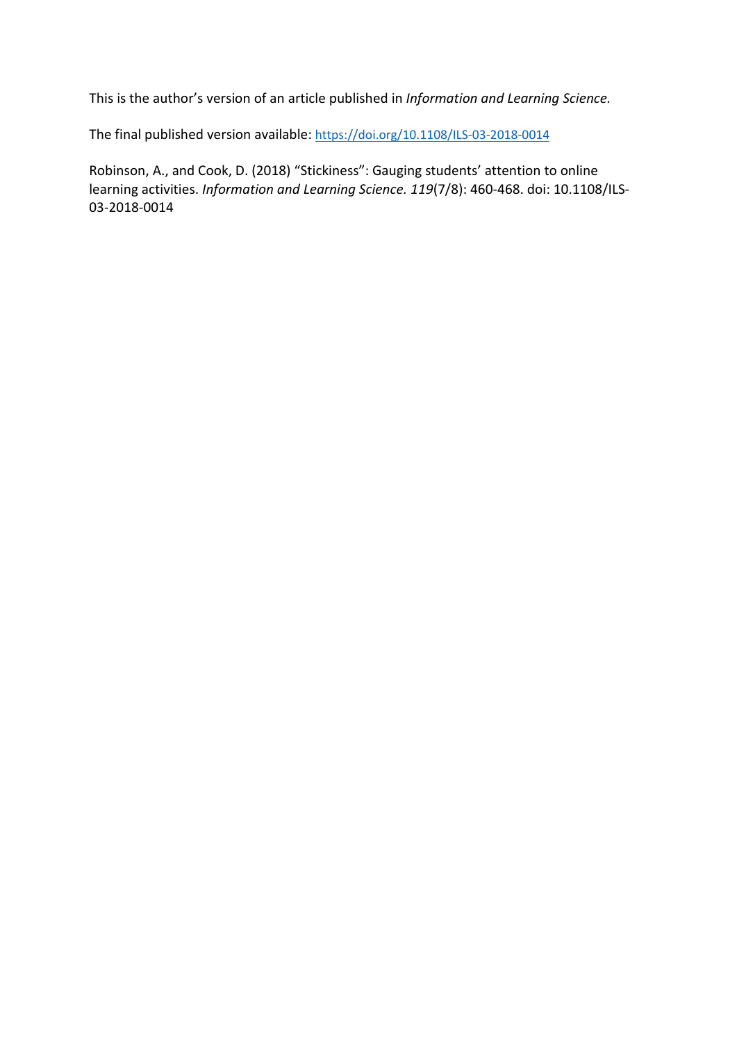This is the author's version of an article published in *Information and Learning Science.*

The final published version available[: https://doi.org/10.1108/ILS-03-2018-0014](https://doi.org/10.1108/ILS-03-2018-0014)

Robinson, A., and Cook, D. (2018) "Stickiness": Gauging students' attention to online learning activities. *Information and Learning Science. 119*(7/8): 460-468. doi: 10.1108/ILS-03-2018-0014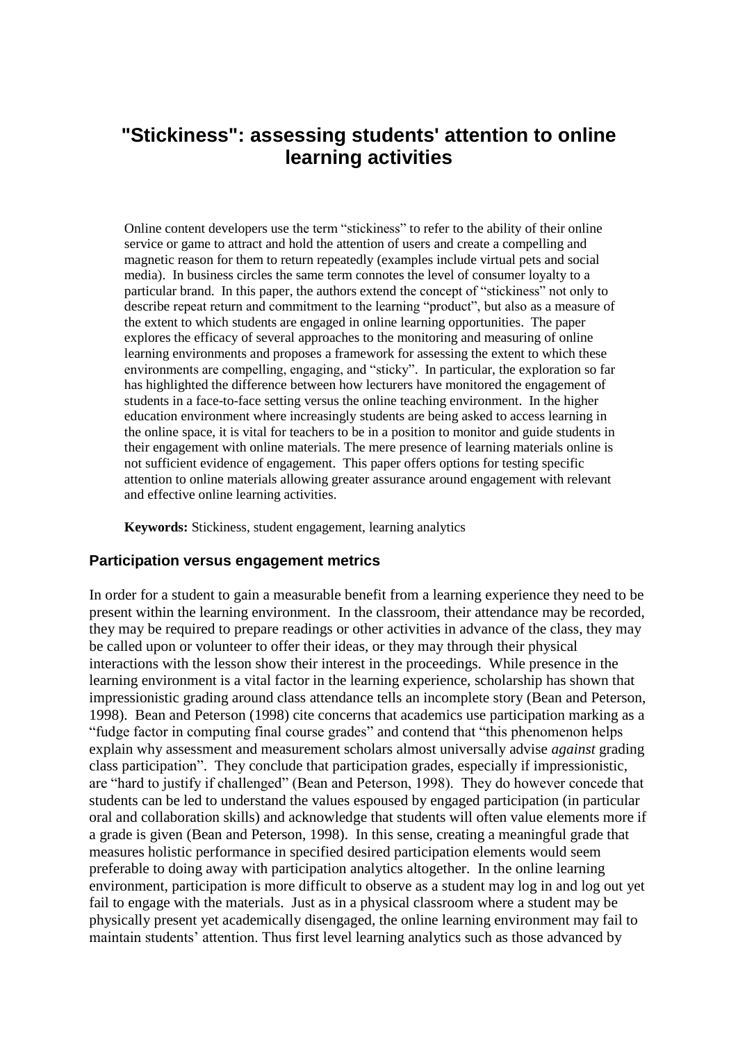# **"Stickiness": assessing students' attention to online learning activities**

Online content developers use the term "stickiness" to refer to the ability of their online service or game to attract and hold the attention of users and create a compelling and magnetic reason for them to return repeatedly (examples include virtual pets and social media). In business circles the same term connotes the level of consumer loyalty to a particular brand. In this paper, the authors extend the concept of "stickiness" not only to describe repeat return and commitment to the learning "product", but also as a measure of the extent to which students are engaged in online learning opportunities. The paper explores the efficacy of several approaches to the monitoring and measuring of online learning environments and proposes a framework for assessing the extent to which these environments are compelling, engaging, and "sticky". In particular, the exploration so far has highlighted the difference between how lecturers have monitored the engagement of students in a face-to-face setting versus the online teaching environment. In the higher education environment where increasingly students are being asked to access learning in the online space, it is vital for teachers to be in a position to monitor and guide students in their engagement with online materials. The mere presence of learning materials online is not sufficient evidence of engagement. This paper offers options for testing specific attention to online materials allowing greater assurance around engagement with relevant and effective online learning activities.

**Keywords:** Stickiness, student engagement, learning analytics

#### **Participation versus engagement metrics**

In order for a student to gain a measurable benefit from a learning experience they need to be present within the learning environment. In the classroom, their attendance may be recorded, they may be required to prepare readings or other activities in advance of the class, they may be called upon or volunteer to offer their ideas, or they may through their physical interactions with the lesson show their interest in the proceedings. While presence in the learning environment is a vital factor in the learning experience, scholarship has shown that impressionistic grading around class attendance tells an incomplete story (Bean and Peterson, 1998). Bean and Peterson (1998) cite concerns that academics use participation marking as a "fudge factor in computing final course grades" and contend that "this phenomenon helps explain why assessment and measurement scholars almost universally advise *against* grading class participation". They conclude that participation grades, especially if impressionistic, are "hard to justify if challenged" (Bean and Peterson, 1998). They do however concede that students can be led to understand the values espoused by engaged participation (in particular oral and collaboration skills) and acknowledge that students will often value elements more if a grade is given (Bean and Peterson, 1998). In this sense, creating a meaningful grade that measures holistic performance in specified desired participation elements would seem preferable to doing away with participation analytics altogether. In the online learning environment, participation is more difficult to observe as a student may log in and log out yet fail to engage with the materials. Just as in a physical classroom where a student may be physically present yet academically disengaged, the online learning environment may fail to maintain students' attention. Thus first level learning analytics such as those advanced by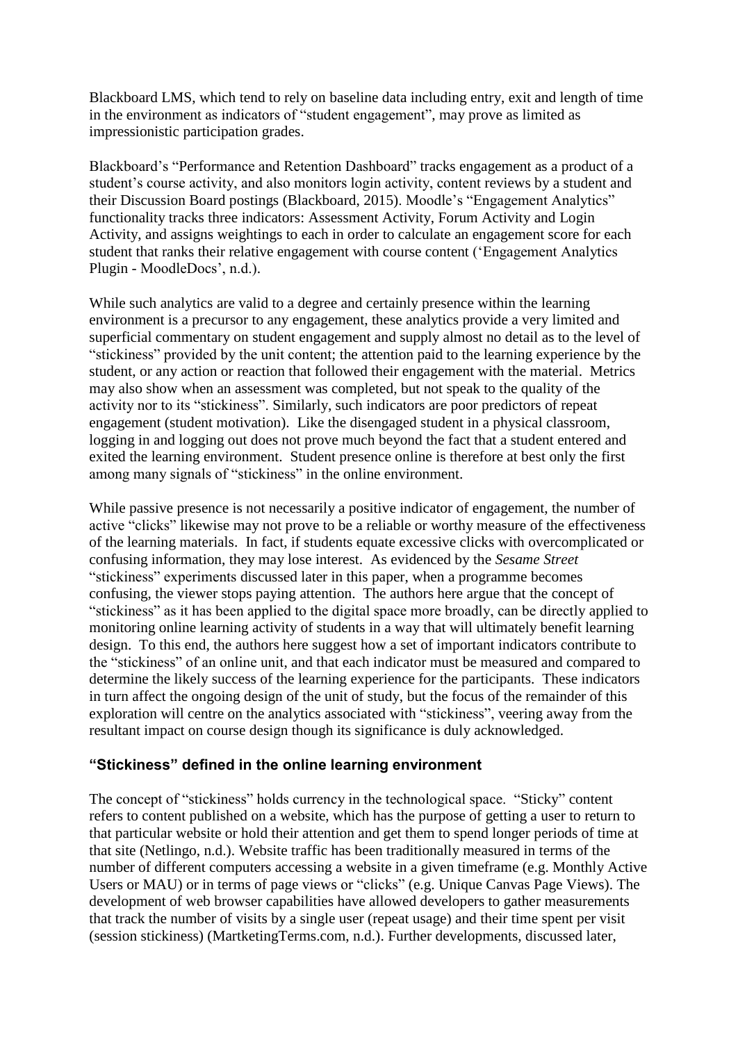Blackboard LMS, which tend to rely on baseline data including entry, exit and length of time in the environment as indicators of "student engagement", may prove as limited as impressionistic participation grades.

Blackboard's "Performance and Retention Dashboard" tracks engagement as a product of a student's course activity, and also monitors login activity, content reviews by a student and their Discussion Board postings (Blackboard, 2015). Moodle's "Engagement Analytics" functionality tracks three indicators: Assessment Activity, Forum Activity and Login Activity, and assigns weightings to each in order to calculate an engagement score for each student that ranks their relative engagement with course content ('Engagement Analytics Plugin - MoodleDocs', n.d.).

While such analytics are valid to a degree and certainly presence within the learning environment is a precursor to any engagement, these analytics provide a very limited and superficial commentary on student engagement and supply almost no detail as to the level of "stickiness" provided by the unit content; the attention paid to the learning experience by the student, or any action or reaction that followed their engagement with the material. Metrics may also show when an assessment was completed, but not speak to the quality of the activity nor to its "stickiness". Similarly, such indicators are poor predictors of repeat engagement (student motivation). Like the disengaged student in a physical classroom, logging in and logging out does not prove much beyond the fact that a student entered and exited the learning environment. Student presence online is therefore at best only the first among many signals of "stickiness" in the online environment.

While passive presence is not necessarily a positive indicator of engagement, the number of active "clicks" likewise may not prove to be a reliable or worthy measure of the effectiveness of the learning materials. In fact, if students equate excessive clicks with overcomplicated or confusing information, they may lose interest. As evidenced by the *Sesame Street* "stickiness" experiments discussed later in this paper, when a programme becomes confusing, the viewer stops paying attention. The authors here argue that the concept of "stickiness" as it has been applied to the digital space more broadly, can be directly applied to monitoring online learning activity of students in a way that will ultimately benefit learning design. To this end, the authors here suggest how a set of important indicators contribute to the "stickiness" of an online unit, and that each indicator must be measured and compared to determine the likely success of the learning experience for the participants. These indicators in turn affect the ongoing design of the unit of study, but the focus of the remainder of this exploration will centre on the analytics associated with "stickiness", veering away from the resultant impact on course design though its significance is duly acknowledged.

## **"Stickiness" defined in the online learning environment**

The concept of "stickiness" holds currency in the technological space. "Sticky" content refers to content published on a [website,](https://en.wikipedia.org/wiki/Website) which has the purpose of getting a user to return to that particular website or hold their attention and get them to spend longer periods of time at that site (Netlingo, n.d.). Website traffic has been traditionally measured in terms of the number of different computers accessing a website in a given timeframe (e.g. Monthly Active Users or MAU) or in terms of page views or "clicks" (e.g. Unique Canvas Page Views). The development of web browser capabilities have allowed developers to gather measurements that track the number of visits by a single user (repeat usage) and their time spent per visit (session stickiness) (MartketingTerms.com, n.d.). Further developments, discussed later,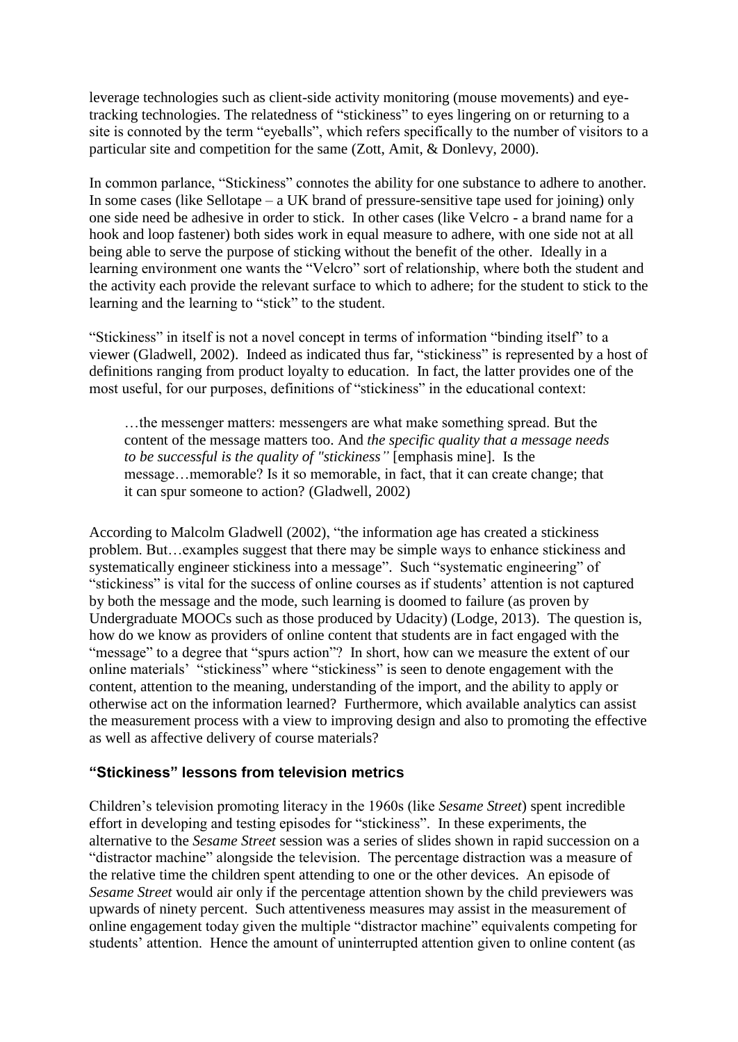leverage technologies such as client-side activity monitoring (mouse movements) and eyetracking technologies. The relatedness of "stickiness" to eyes lingering on or returning to a site is connoted by the term "eyeballs", which refers specifically to the number of visitors to a particular site and competition for the same (Zott, Amit, & Donlevy, 2000).

In common parlance, "Stickiness" connotes the ability for one substance to adhere to another. In some cases (like Sellotape – a UK brand of pressure-sensitive tape used for joining) only one side need be adhesive in order to stick. In other cases (like Velcro - a brand name for a hook and loop fastener) both sides work in equal measure to adhere, with one side not at all being able to serve the purpose of sticking without the benefit of the other. Ideally in a learning environment one wants the "Velcro" sort of relationship, where both the student and the activity each provide the relevant surface to which to adhere; for the student to stick to the learning and the learning to "stick" to the student.

"Stickiness" in itself is not a novel concept in terms of information "binding itself" to a viewer (Gladwell, 2002). Indeed as indicated thus far, "stickiness" is represented by a host of definitions ranging from product loyalty to education. In fact, the latter provides one of the most useful, for our purposes, definitions of "stickiness" in the educational context:

…the messenger matters: messengers are what make something spread. But the content of the message matters too. And *the specific quality that a message needs to be successful is the quality of "stickiness"* [emphasis mine]. Is the message…memorable? Is it so memorable, in fact, that it can create change; that it can spur someone to action? (Gladwell, 2002)

According to Malcolm Gladwell (2002), "the information age has created a stickiness problem. But…examples suggest that there may be simple ways to enhance stickiness and systematically engineer stickiness into a message". Such "systematic engineering" of "stickiness" is vital for the success of online courses as if students' attention is not captured by both the message and the mode, such learning is doomed to failure (as proven by Undergraduate MOOCs such as those produced by Udacity) (Lodge, 2013). The question is, how do we know as providers of online content that students are in fact engaged with the "message" to a degree that "spurs action"? In short, how can we measure the extent of our online materials' "stickiness" where "stickiness" is seen to denote engagement with the content, attention to the meaning, understanding of the import, and the ability to apply or otherwise act on the information learned? Furthermore, which available analytics can assist the measurement process with a view to improving design and also to promoting the effective as well as affective delivery of course materials?

## **"Stickiness" lessons from television metrics**

Children's television promoting literacy in the 1960s (like *Sesame Street*) spent incredible effort in developing and testing episodes for "stickiness". In these experiments, the alternative to the *Sesame Street* session was a series of slides shown in rapid succession on a "distractor machine" alongside the television. The percentage distraction was a measure of the relative time the children spent attending to one or the other devices. An episode of *Sesame Street* would air only if the percentage attention shown by the child previewers was upwards of ninety percent. Such attentiveness measures may assist in the measurement of online engagement today given the multiple "distractor machine" equivalents competing for students' attention. Hence the amount of uninterrupted attention given to online content (as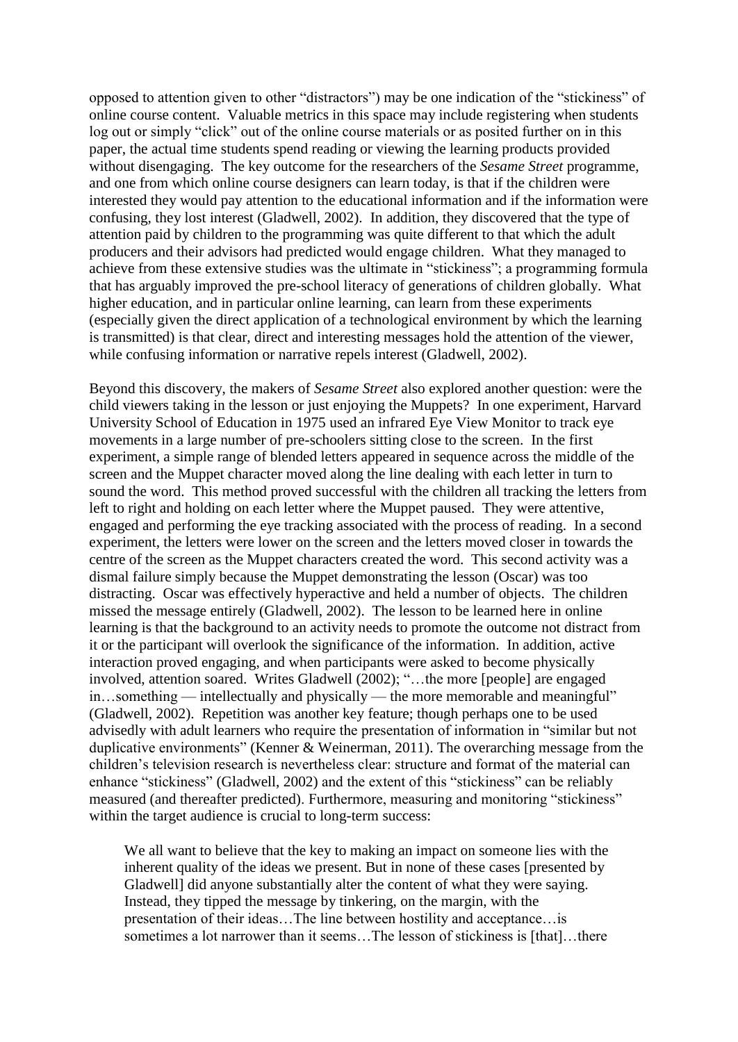opposed to attention given to other "distractors") may be one indication of the "stickiness" of online course content. Valuable metrics in this space may include registering when students log out or simply "click" out of the online course materials or as posited further on in this paper, the actual time students spend reading or viewing the learning products provided without disengaging. The key outcome for the researchers of the *Sesame Street* programme, and one from which online course designers can learn today, is that if the children were interested they would pay attention to the educational information and if the information were confusing, they lost interest (Gladwell, 2002). In addition, they discovered that the type of attention paid by children to the programming was quite different to that which the adult producers and their advisors had predicted would engage children. What they managed to achieve from these extensive studies was the ultimate in "stickiness"; a programming formula that has arguably improved the pre-school literacy of generations of children globally. What higher education, and in particular online learning, can learn from these experiments (especially given the direct application of a technological environment by which the learning is transmitted) is that clear, direct and interesting messages hold the attention of the viewer, while confusing information or narrative repels interest (Gladwell, 2002).

Beyond this discovery, the makers of *Sesame Street* also explored another question: were the child viewers taking in the lesson or just enjoying the Muppets? In one experiment, Harvard University School of Education in 1975 used an infrared Eye View Monitor to track eye movements in a large number of pre-schoolers sitting close to the screen. In the first experiment, a simple range of blended letters appeared in sequence across the middle of the screen and the Muppet character moved along the line dealing with each letter in turn to sound the word. This method proved successful with the children all tracking the letters from left to right and holding on each letter where the Muppet paused. They were attentive, engaged and performing the eye tracking associated with the process of reading. In a second experiment, the letters were lower on the screen and the letters moved closer in towards the centre of the screen as the Muppet characters created the word. This second activity was a dismal failure simply because the Muppet demonstrating the lesson (Oscar) was too distracting. Oscar was effectively hyperactive and held a number of objects. The children missed the message entirely (Gladwell, 2002). The lesson to be learned here in online learning is that the background to an activity needs to promote the outcome not distract from it or the participant will overlook the significance of the information. In addition, active interaction proved engaging, and when participants were asked to become physically involved, attention soared. Writes Gladwell (2002); "…the more [people] are engaged in…something — intellectually and physically — the more memorable and meaningful" (Gladwell, 2002). Repetition was another key feature; though perhaps one to be used advisedly with adult learners who require the presentation of information in "similar but not duplicative environments" (Kenner & Weinerman, 2011). The overarching message from the children's television research is nevertheless clear: structure and format of the material can enhance "stickiness" (Gladwell, 2002) and the extent of this "stickiness" can be reliably measured (and thereafter predicted). Furthermore, measuring and monitoring "stickiness" within the target audience is crucial to long-term success:

We all want to believe that the key to making an impact on someone lies with the inherent quality of the ideas we present. But in none of these cases [presented by Gladwell] did anyone substantially alter the content of what they were saying. Instead, they tipped the message by tinkering, on the margin, with the presentation of their ideas…The line between hostility and acceptance…is sometimes a lot narrower than it seems...The lesson of stickiness is [that]...there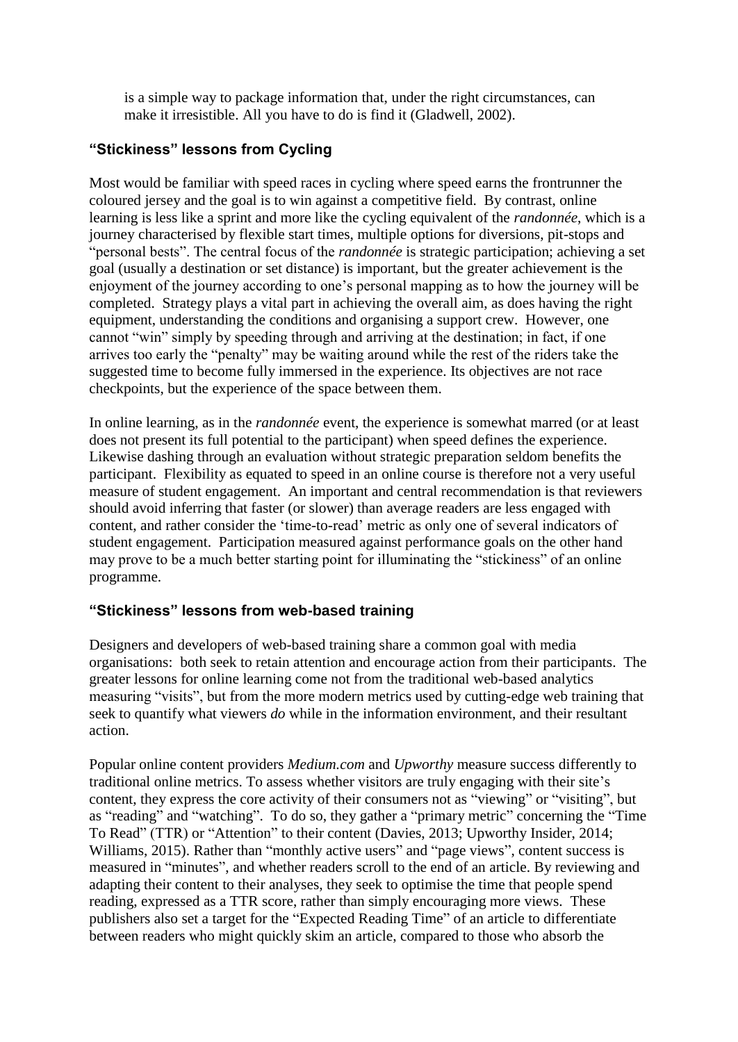is a simple way to package information that, under the right circumstances, can make it irresistible. All you have to do is find it (Gladwell, 2002).

# **"Stickiness" lessons from Cycling**

Most would be familiar with speed races in cycling where speed earns the frontrunner the coloured jersey and the goal is to win against a competitive field. By contrast, online learning is less like a sprint and more like the cycling equivalent of the *randonnée*, which is a journey characterised by flexible start times, multiple options for diversions, pit-stops and "personal bests". The central focus of the *randonnée* is strategic participation; achieving a set goal (usually a destination or set distance) is important, but the greater achievement is the enjoyment of the journey according to one's personal mapping as to how the journey will be completed. Strategy plays a vital part in achieving the overall aim, as does having the right equipment, understanding the conditions and organising a support crew. However, one cannot "win" simply by speeding through and arriving at the destination; in fact, if one arrives too early the "penalty" may be waiting around while the rest of the riders take the suggested time to become fully immersed in the experience. Its objectives are not race checkpoints, but the experience of the space between them.

In online learning, as in the *randonnée* event, the experience is somewhat marred (or at least does not present its full potential to the participant) when speed defines the experience. Likewise dashing through an evaluation without strategic preparation seldom benefits the participant. Flexibility as equated to speed in an online course is therefore not a very useful measure of student engagement. An important and central recommendation is that reviewers should avoid inferring that faster (or slower) than average readers are less engaged with content, and rather consider the 'time-to-read' metric as only one of several indicators of student engagement. Participation measured against performance goals on the other hand may prove to be a much better starting point for illuminating the "stickiness" of an online programme.

# **"Stickiness" lessons from web-based training**

Designers and developers of web-based training share a common goal with media organisations: both seek to retain attention and encourage action from their participants. The greater lessons for online learning come not from the traditional web-based analytics measuring "visits", but from the more modern metrics used by cutting-edge web training that seek to quantify what viewers *do* while in the information environment, and their resultant action.

Popular online content providers *Medium.com* and *Upworthy* measure success differently to traditional online metrics. To assess whether visitors are truly engaging with their site's content, they express the core activity of their consumers not as "viewing" or "visiting", but as "reading" and "watching". To do so, they gather a "primary metric" concerning the "Time To Read" (TTR) or "Attention" to their content (Davies, 2013; Upworthy Insider, 2014; Williams, 2015). Rather than "monthly active users" and "page views", content success is measured in "minutes", and whether readers scroll to the end of an article. By reviewing and adapting their content to their analyses, they seek to optimise the time that people spend reading, expressed as a TTR score, rather than simply encouraging more views. These publishers also set a target for the "Expected Reading Time" of an article to differentiate between readers who might quickly skim an article, compared to those who absorb the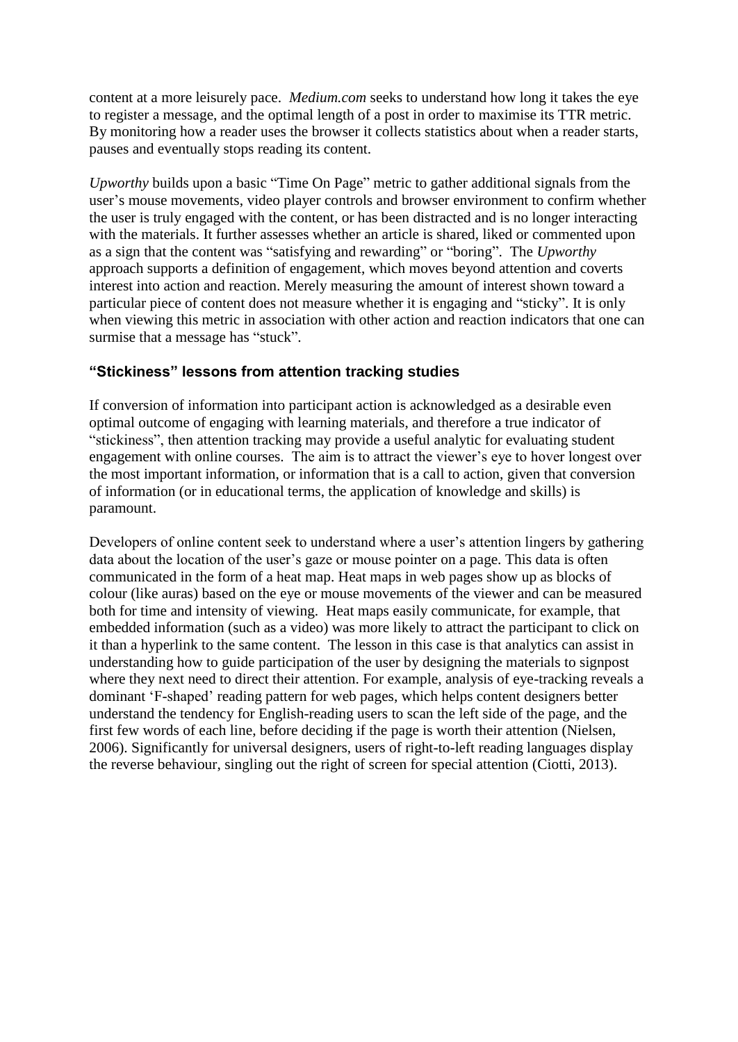content at a more leisurely pace. *Medium.com* seeks to understand how long it takes the eye to register a message, and the optimal length of a post in order to maximise its TTR metric. By monitoring how a reader uses the browser it collects statistics about when a reader starts, pauses and eventually stops reading its content.

*Upworthy* builds upon a basic "Time On Page" metric to gather additional signals from the user's mouse movements, video player controls and browser environment to confirm whether the user is truly engaged with the content, or has been distracted and is no longer interacting with the materials. It further assesses whether an article is shared, liked or commented upon as a sign that the content was "satisfying and rewarding" or "boring". The *Upworthy* approach supports a definition of engagement, which moves beyond attention and coverts interest into action and reaction. Merely measuring the amount of interest shown toward a particular piece of content does not measure whether it is engaging and "sticky". It is only when viewing this metric in association with other action and reaction indicators that one can surmise that a message has "stuck".

## **"Stickiness" lessons from attention tracking studies**

If conversion of information into participant action is acknowledged as a desirable even optimal outcome of engaging with learning materials, and therefore a true indicator of "stickiness", then attention tracking may provide a useful analytic for evaluating student engagement with online courses. The aim is to attract the viewer's eye to hover longest over the most important information, or information that is a call to action, given that conversion of information (or in educational terms, the application of knowledge and skills) is paramount.

Developers of online content seek to understand where a user's attention lingers by gathering data about the location of the user's gaze or mouse pointer on a page. This data is often communicated in the form of a heat map. Heat maps in web pages show up as blocks of colour (like auras) based on the eye or mouse movements of the viewer and can be measured both for time and intensity of viewing. Heat maps easily communicate, for example, that embedded information (such as a video) was more likely to attract the participant to click on it than a hyperlink to the same content. The lesson in this case is that analytics can assist in understanding how to guide participation of the user by designing the materials to signpost where they next need to direct their attention. For example, analysis of eye-tracking reveals a dominant 'F-shaped' reading pattern for web pages, which helps content designers better understand the tendency for English-reading users to scan the left side of the page, and the first few words of each line, before deciding if the page is worth their attention (Nielsen, 2006). Significantly for universal designers, users of right-to-left reading languages display the reverse behaviour, singling out the right of screen for special attention (Ciotti, 2013).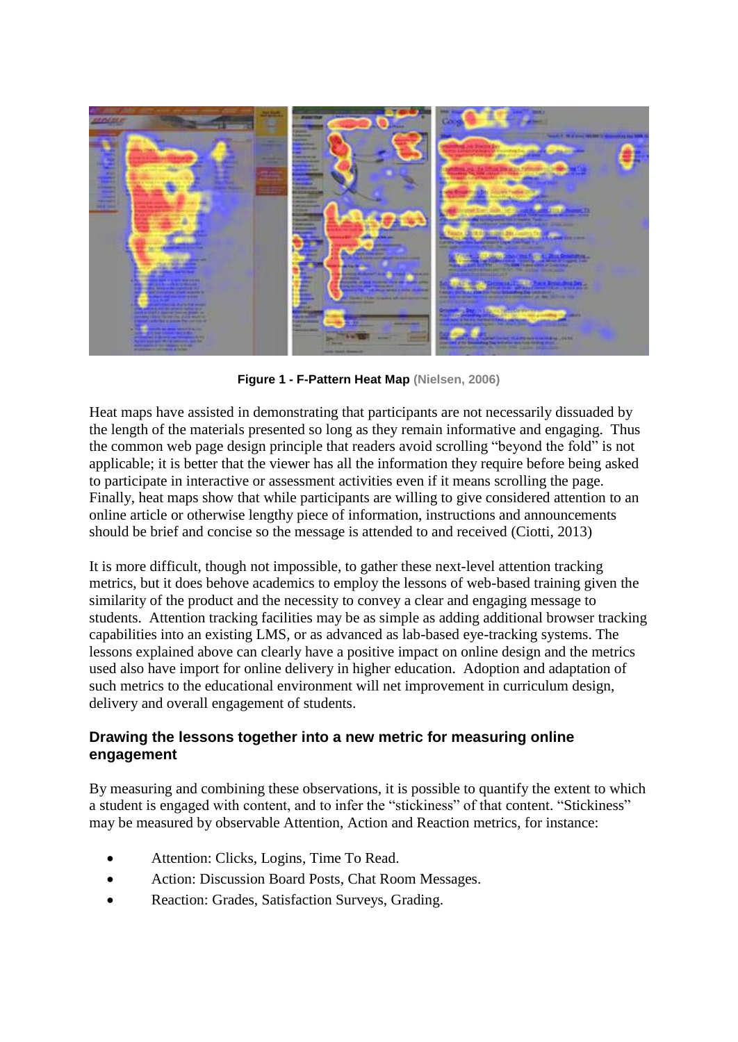

**Figure 1 - F-Pattern Heat Map (Nielsen, 2006)**

Heat maps have assisted in demonstrating that participants are not necessarily dissuaded by the length of the materials presented so long as they remain informative and engaging. Thus the common web page design principle that readers avoid scrolling "beyond the fold" is not applicable; it is better that the viewer has all the information they require before being asked to participate in interactive or assessment activities even if it means scrolling the page. Finally, heat maps show that while participants are willing to give considered attention to an online article or otherwise lengthy piece of information, instructions and announcements should be brief and concise so the message is attended to and received (Ciotti, 2013)

It is more difficult, though not impossible, to gather these next-level attention tracking metrics, but it does behove academics to employ the lessons of web-based training given the similarity of the product and the necessity to convey a clear and engaging message to students. Attention tracking facilities may be as simple as adding additional browser tracking capabilities into an existing LMS, or as advanced as lab-based eye-tracking systems. The lessons explained above can clearly have a positive impact on online design and the metrics used also have import for online delivery in higher education. Adoption and adaptation of such metrics to the educational environment will net improvement in curriculum design, delivery and overall engagement of students.

# **Drawing the lessons together into a new metric for measuring online engagement**

By measuring and combining these observations, it is possible to quantify the extent to which a student is engaged with content, and to infer the "stickiness" of that content. "Stickiness" may be measured by observable Attention, Action and Reaction metrics, for instance:

- Attention: Clicks, Logins, Time To Read.
- Action: Discussion Board Posts, Chat Room Messages.
- Reaction: Grades, Satisfaction Surveys, Grading.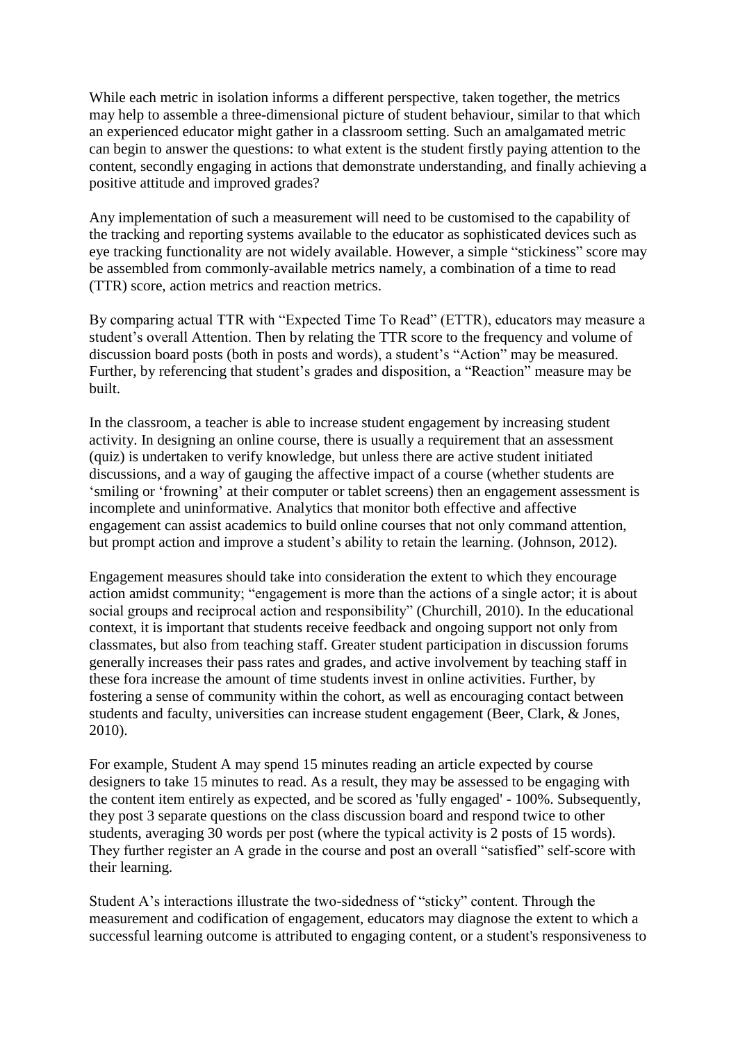While each metric in isolation informs a different perspective, taken together, the metrics may help to assemble a three-dimensional picture of student behaviour, similar to that which an experienced educator might gather in a classroom setting. Such an amalgamated metric can begin to answer the questions: to what extent is the student firstly paying attention to the content, secondly engaging in actions that demonstrate understanding, and finally achieving a positive attitude and improved grades?

Any implementation of such a measurement will need to be customised to the capability of the tracking and reporting systems available to the educator as sophisticated devices such as eye tracking functionality are not widely available. However, a simple "stickiness" score may be assembled from commonly-available metrics namely, a combination of a time to read (TTR) score, action metrics and reaction metrics.

By comparing actual TTR with "Expected Time To Read" (ETTR), educators may measure a student's overall Attention. Then by relating the TTR score to the frequency and volume of discussion board posts (both in posts and words), a student's "Action" may be measured. Further, by referencing that student's grades and disposition, a "Reaction" measure may be built.

In the classroom, a teacher is able to increase student engagement by increasing student activity. In designing an online course, there is usually a requirement that an assessment (quiz) is undertaken to verify knowledge, but unless there are active student initiated discussions, and a way of gauging the affective impact of a course (whether students are 'smiling or 'frowning' at their computer or tablet screens) then an engagement assessment is incomplete and uninformative. Analytics that monitor both effective and affective engagement can assist academics to build online courses that not only command attention, but prompt action and improve a student's ability to retain the learning. (Johnson, 2012).

Engagement measures should take into consideration the extent to which they encourage action amidst community; "engagement is more than the actions of a single actor; it is about social groups and reciprocal action and responsibility" (Churchill, 2010). In the educational context, it is important that students receive feedback and ongoing support not only from classmates, but also from teaching staff. Greater student participation in discussion forums generally increases their pass rates and grades, and active involvement by teaching staff in these fora increase the amount of time students invest in online activities. Further, by fostering a sense of community within the cohort, as well as encouraging contact between students and faculty, universities can increase student engagement (Beer, Clark, & Jones, 2010).

For example, Student A may spend 15 minutes reading an article expected by course designers to take 15 minutes to read. As a result, they may be assessed to be engaging with the content item entirely as expected, and be scored as 'fully engaged' - 100%. Subsequently, they post 3 separate questions on the class discussion board and respond twice to other students, averaging 30 words per post (where the typical activity is 2 posts of 15 words). They further register an A grade in the course and post an overall "satisfied" self-score with their learning.

Student A's interactions illustrate the two-sidedness of "sticky" content. Through the measurement and codification of engagement, educators may diagnose the extent to which a successful learning outcome is attributed to engaging content, or a student's responsiveness to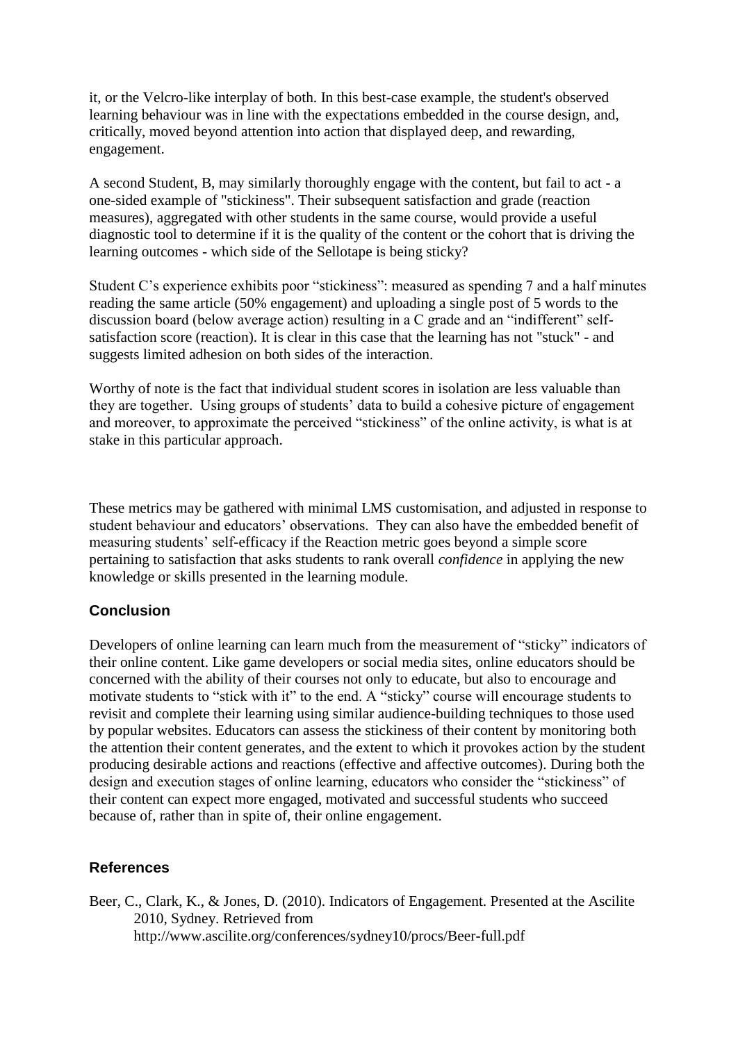it, or the Velcro-like interplay of both. In this best-case example, the student's observed learning behaviour was in line with the expectations embedded in the course design, and, critically, moved beyond attention into action that displayed deep, and rewarding, engagement.

A second Student, B, may similarly thoroughly engage with the content, but fail to act - a one-sided example of "stickiness". Their subsequent satisfaction and grade (reaction measures), aggregated with other students in the same course, would provide a useful diagnostic tool to determine if it is the quality of the content or the cohort that is driving the learning outcomes - which side of the Sellotape is being sticky?

Student C's experience exhibits poor "stickiness": measured as spending 7 and a half minutes reading the same article (50% engagement) and uploading a single post of 5 words to the discussion board (below average action) resulting in a C grade and an "indifferent" selfsatisfaction score (reaction). It is clear in this case that the learning has not "stuck" - and suggests limited adhesion on both sides of the interaction.

Worthy of note is the fact that individual student scores in isolation are less valuable than they are together. Using groups of students' data to build a cohesive picture of engagement and moreover, to approximate the perceived "stickiness" of the online activity, is what is at stake in this particular approach.

These metrics may be gathered with minimal LMS customisation, and adjusted in response to student behaviour and educators' observations. They can also have the embedded benefit of measuring students' self-efficacy if the Reaction metric goes beyond a simple score pertaining to satisfaction that asks students to rank overall *confidence* in applying the new knowledge or skills presented in the learning module.

## **Conclusion**

Developers of online learning can learn much from the measurement of "sticky" indicators of their online content. Like game developers or social media sites, online educators should be concerned with the ability of their courses not only to educate, but also to encourage and motivate students to "stick with it" to the end. A "sticky" course will encourage students to revisit and complete their learning using similar audience-building techniques to those used by popular websites. Educators can assess the stickiness of their content by monitoring both the attention their content generates, and the extent to which it provokes action by the student producing desirable actions and reactions (effective and affective outcomes). During both the design and execution stages of online learning, educators who consider the "stickiness" of their content can expect more engaged, motivated and successful students who succeed because of, rather than in spite of, their online engagement.

## **References**

Beer, C., Clark, K., & Jones, D. (2010). Indicators of Engagement. Presented at the Ascilite 2010, Sydney. Retrieved from http://www.ascilite.org/conferences/sydney10/procs/Beer-full.pdf